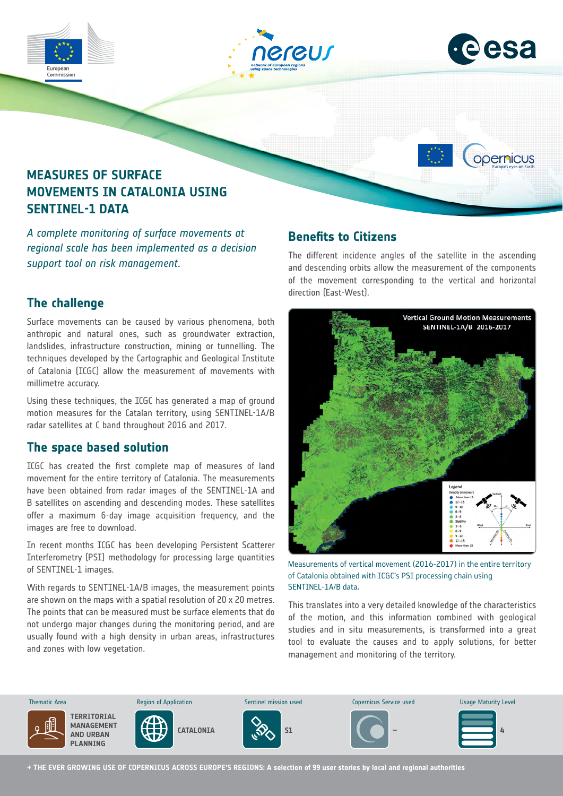

*A complete monitoring of surface movements at regional scale has been implemented as a decision support tool on risk management.*

### **The challenge**

Surface movements can be caused by various phenomena, both anthropic and natural ones, such as groundwater extraction, landslides, infrastructure construction, mining or tunnelling. The techniques developed by the Cartographic and Geological Institute of Catalonia (ICGC) allow the measurement of movements with millimetre accuracy.

Using these techniques, the ICGC has generated a map of ground motion measures for the Catalan territory, using SENTINEL-1A/B radar satellites at C band throughout 2016 and 2017.

### **The space based solution**

ICGC has created the first complete map of measures of land movement for the entire territory of Catalonia. The measurements have been obtained from radar images of the SENTINEL-1A and B satellites on ascending and descending modes. These satellites offer a maximum 6-day image acquisition frequency, and the images are free to download.

In recent months ICGC has been developing Persistent Scatterer Interferometry (PSI) methodology for processing large quantities of SENTINEL-1 images.

With regards to SENTINEL-1A/B images, the measurement points are shown on the maps with a spatial resolution of 20 x 20 metres. The points that can be measured must be surface elements that do not undergo major changes during the monitoring period, and are usually found with a high density in urban areas, infrastructures and zones with low vegetation.

## **Benefits to Citizens**

The different incidence angles of the satellite in the ascending and descending orbits allow the measurement of the components of the movement corresponding to the vertical and horizontal direction (East-West).



Measurements of vertical movement (2016-2017) in the entire territory of Catalonia obtained with ICGC's PSI processing chain using SENTINEL-1A/B data.

This translates into a very detailed knowledge of the characteristics of the motion, and this information combined with geological studies and in situ measurements, is transformed into a great tool to evaluate the causes and to apply solutions, for better management and monitoring of the territory.



**→ THE EVER GROWING USE OF COPERNICUS ACROSS EUROPE'S REGIONS: A selection of 99 user stories by local and regional authorities**